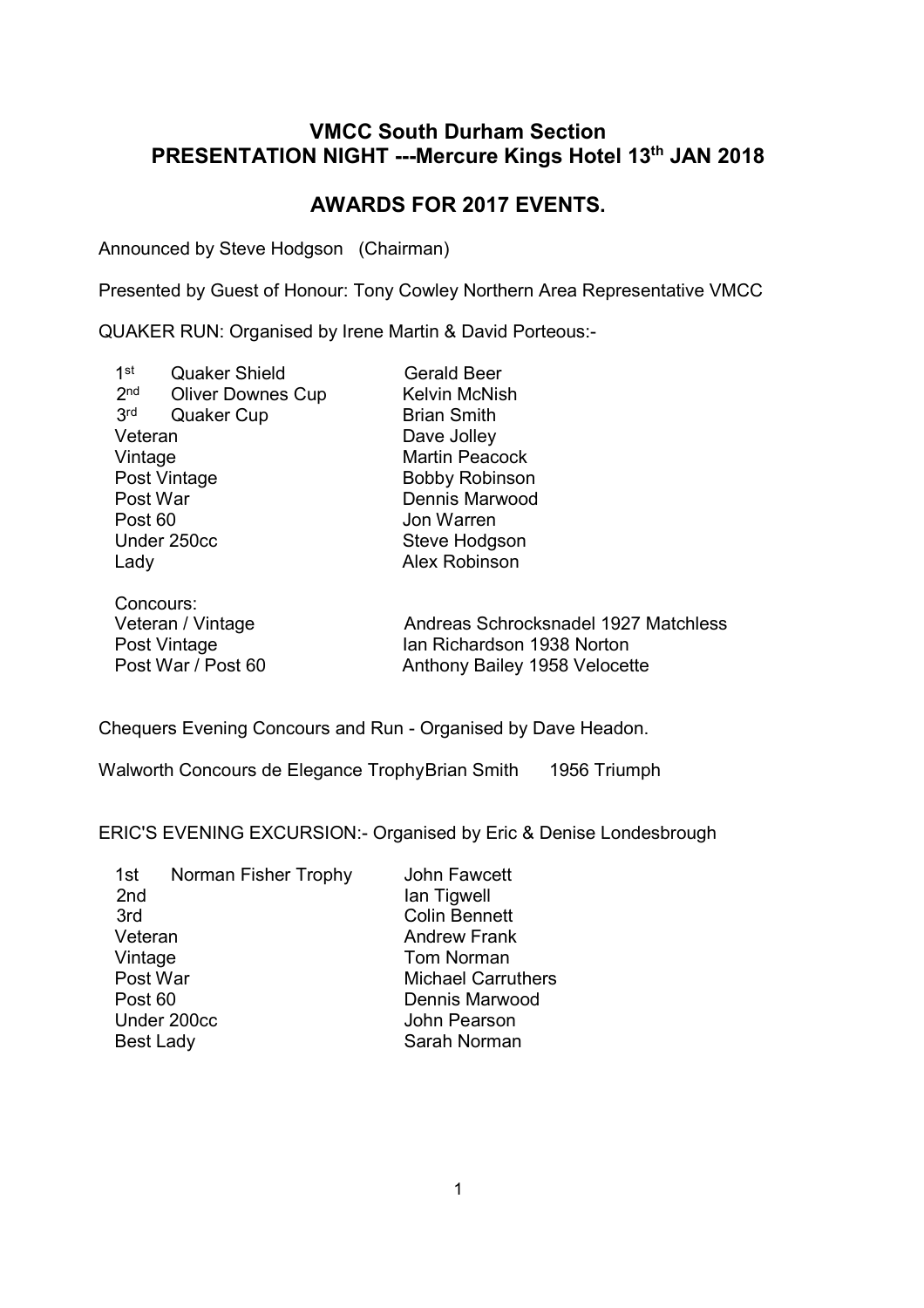## **VMCC South Durham Section PRESENTATION NIGHT ---Mercure Kings Hotel 13th JAN 2018**

# **AWARDS FOR 2017 EVENTS.**

Announced by Steve Hodgson (Chairman)

Presented by Guest of Honour: Tony Cowley Northern Area Representative VMCC

QUAKER RUN: Organised by Irene Martin & David Porteous:-

| 1 <sub>st</sub> | <b>Quaker Shield</b>     | <b>Gerald Beer</b>    |
|-----------------|--------------------------|-----------------------|
| 2 <sub>nd</sub> | <b>Oliver Downes Cup</b> | <b>Kelvin McNish</b>  |
| 3rd             | <b>Quaker Cup</b>        | <b>Brian Smith</b>    |
| Veteran         |                          | Dave Jolley           |
| Vintage         |                          | <b>Martin Peacock</b> |
|                 | Post Vintage             | <b>Bobby Robinson</b> |
| Post War        |                          | Dennis Marwood        |
| Post 60         |                          | Jon Warren            |
| Under 250cc     |                          | Steve Hodgson         |
| Lady            |                          | <b>Alex Robinson</b>  |
|                 | Concours:                |                       |

Veteran / Vintage Andreas Schrocksnadel 1927 Matchless Post Vintage Ian Richardson 1938 Norton<br>Post War / Post 60 Anthony Bailey 1958 Velocet Anthony Bailey 1958 Velocette

Chequers Evening Concours and Run - Organised by Dave Headon.

Walworth Concours de Elegance Trophy Brian Smith 1956 Triumph

ERIC'S EVENING EXCURSION:- Organised by Eric & Denise Londesbrough

| 1st<br>Norman Fisher Trophy<br>2 <sub>nd</sub><br>3rd<br>Veteran<br>Vintage<br>Post War<br>Post 60<br>Under 200cc<br><b>Best Lady</b> | <b>John Fawcett</b><br>lan Tigwell<br><b>Colin Bennett</b><br><b>Andrew Frank</b><br><b>Tom Norman</b><br><b>Michael Carruthers</b><br><b>Dennis Marwood</b><br>John Pearson<br>Sarah Norman |
|---------------------------------------------------------------------------------------------------------------------------------------|----------------------------------------------------------------------------------------------------------------------------------------------------------------------------------------------|
|                                                                                                                                       |                                                                                                                                                                                              |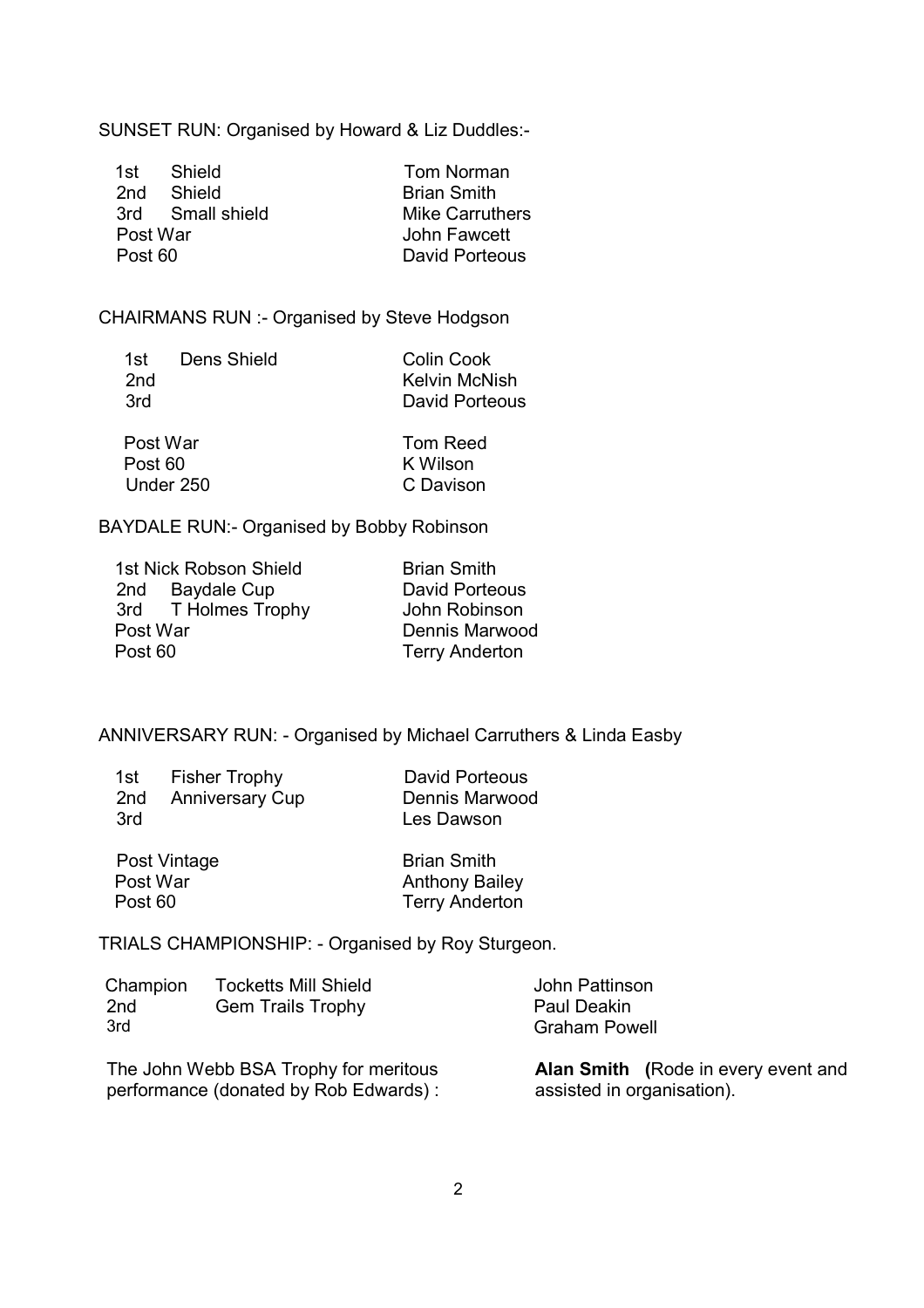SUNSET RUN: Organised by Howard & Liz Duddles:-

| 1st -    | – Shield         | Tom Norman             |
|----------|------------------|------------------------|
|          | 2nd Shield       | <b>Brian Smith</b>     |
|          | 3rd Small shield | <b>Mike Carruthers</b> |
| Post War |                  | John Fawcett           |
| Post 60  |                  | David Porteous         |

CHAIRMANS RUN :- Organised by Steve Hodgson

| 1st i           | Dens Shield | <b>Colin Cook</b> |
|-----------------|-------------|-------------------|
| 2 <sub>nd</sub> |             | Kelvin McNish     |
| 3rd             |             | David Porteous    |
| Post War        |             | Tom Reed          |
| Post 60         |             | K Wilson          |

BAYDALE RUN:- Organised by Bobby Robinson

Under 250 C Davison

| <b>Brian Smith</b>    |
|-----------------------|
| <b>David Porteous</b> |
| John Robinson         |
| Dennis Marwood        |
| <b>Terry Anderton</b> |
|                       |

ANNIVERSARY RUN: - Organised by Michael Carruthers & Linda Easby

|     | 1st Fisher Trophy   |  |
|-----|---------------------|--|
|     | 2nd Anniversary Cup |  |
| 3rd |                     |  |

David Porteous Dennis Marwood Les Dawson

| Post Vintage | <b>Brian Smith</b>    |
|--------------|-----------------------|
| Post War     | <b>Anthony Bailey</b> |
| Post 60      | <b>Terry Anderton</b> |

TRIALS CHAMPIONSHIP: - Organised by Roy Sturgeon.

| Champion<br>2 <sub>nd</sub><br>3rd | <b>Tocketts Mill Shield</b><br><b>Gem Trails Trophy</b> | John Pattinson<br>Paul Deakin<br><b>Graham Powell</b> |  |
|------------------------------------|---------------------------------------------------------|-------------------------------------------------------|--|
|                                    | The John Webb BSA Trophy for meritous                   | <b>Alan Smith (Rd</b>                                 |  |

performance (donated by Rob Edwards) : assisted in organisation).

**Alan Smith (**Rode in every event and